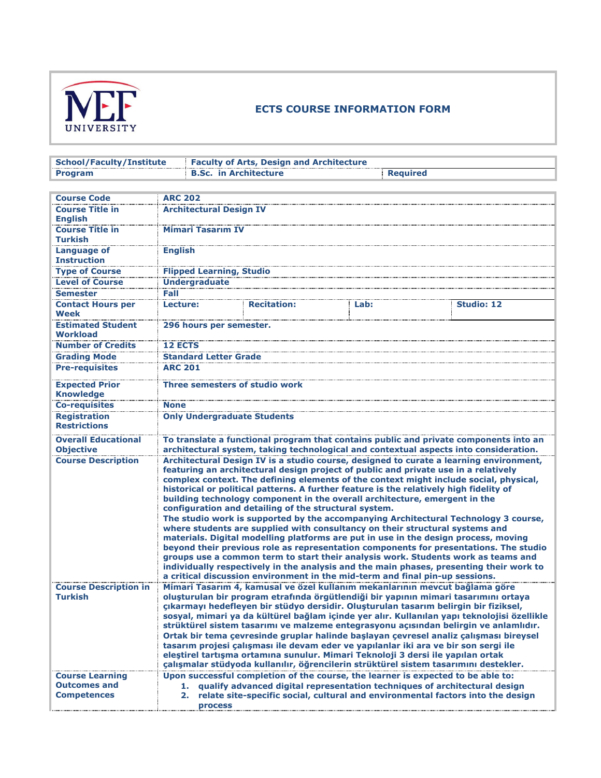

## **ECTS COURSE INFORMATION FORM**

| <b>School/Faculty/Institute</b>                                                |                                                                                                                                                                                                                                                                                                                                                                                                                                                                                                                                                                                                                                                                                                                                                                                                                                                                                                                                                                                                                                                                                                                                | <b>Faculty of Arts, Design and Architecture</b>                                       |      |                   |  |  |
|--------------------------------------------------------------------------------|--------------------------------------------------------------------------------------------------------------------------------------------------------------------------------------------------------------------------------------------------------------------------------------------------------------------------------------------------------------------------------------------------------------------------------------------------------------------------------------------------------------------------------------------------------------------------------------------------------------------------------------------------------------------------------------------------------------------------------------------------------------------------------------------------------------------------------------------------------------------------------------------------------------------------------------------------------------------------------------------------------------------------------------------------------------------------------------------------------------------------------|---------------------------------------------------------------------------------------|------|-------------------|--|--|
| <b>Program</b>                                                                 |                                                                                                                                                                                                                                                                                                                                                                                                                                                                                                                                                                                                                                                                                                                                                                                                                                                                                                                                                                                                                                                                                                                                | <b>B.Sc. in Architecture</b><br><b>Required</b>                                       |      |                   |  |  |
|                                                                                |                                                                                                                                                                                                                                                                                                                                                                                                                                                                                                                                                                                                                                                                                                                                                                                                                                                                                                                                                                                                                                                                                                                                |                                                                                       |      |                   |  |  |
| <b>Course Code</b>                                                             | <b>ARC 202</b>                                                                                                                                                                                                                                                                                                                                                                                                                                                                                                                                                                                                                                                                                                                                                                                                                                                                                                                                                                                                                                                                                                                 |                                                                                       |      |                   |  |  |
| <b>Course Title in</b><br><b>English</b>                                       | <b>Architectural Design IV</b>                                                                                                                                                                                                                                                                                                                                                                                                                                                                                                                                                                                                                                                                                                                                                                                                                                                                                                                                                                                                                                                                                                 |                                                                                       |      |                   |  |  |
| <b>Course Title in</b><br><b>Turkish</b>                                       | <b>Mimari Tasarım IV</b>                                                                                                                                                                                                                                                                                                                                                                                                                                                                                                                                                                                                                                                                                                                                                                                                                                                                                                                                                                                                                                                                                                       |                                                                                       |      |                   |  |  |
| <b>Language of</b><br><b>Instruction</b>                                       | <b>English</b>                                                                                                                                                                                                                                                                                                                                                                                                                                                                                                                                                                                                                                                                                                                                                                                                                                                                                                                                                                                                                                                                                                                 |                                                                                       |      |                   |  |  |
| <b>Type of Course</b>                                                          | <b>Flipped Learning, Studio</b>                                                                                                                                                                                                                                                                                                                                                                                                                                                                                                                                                                                                                                                                                                                                                                                                                                                                                                                                                                                                                                                                                                |                                                                                       |      |                   |  |  |
| <b>Level of Course</b>                                                         | <b>Undergraduate</b>                                                                                                                                                                                                                                                                                                                                                                                                                                                                                                                                                                                                                                                                                                                                                                                                                                                                                                                                                                                                                                                                                                           |                                                                                       |      |                   |  |  |
| <b>Semester</b>                                                                | Fall                                                                                                                                                                                                                                                                                                                                                                                                                                                                                                                                                                                                                                                                                                                                                                                                                                                                                                                                                                                                                                                                                                                           |                                                                                       |      |                   |  |  |
| <b>Contact Hours per</b><br>Week                                               | Lecture:                                                                                                                                                                                                                                                                                                                                                                                                                                                                                                                                                                                                                                                                                                                                                                                                                                                                                                                                                                                                                                                                                                                       | <b>Recitation:</b>                                                                    | Lab: | <b>Studio: 12</b> |  |  |
| <b>Estimated Student</b><br><b>Workload</b>                                    | 296 hours per semester.                                                                                                                                                                                                                                                                                                                                                                                                                                                                                                                                                                                                                                                                                                                                                                                                                                                                                                                                                                                                                                                                                                        |                                                                                       |      |                   |  |  |
| <b>Number of Credits</b>                                                       | <b>12 ECTS</b>                                                                                                                                                                                                                                                                                                                                                                                                                                                                                                                                                                                                                                                                                                                                                                                                                                                                                                                                                                                                                                                                                                                 |                                                                                       |      |                   |  |  |
| <b>Grading Mode</b>                                                            | <b>Standard Letter Grade</b>                                                                                                                                                                                                                                                                                                                                                                                                                                                                                                                                                                                                                                                                                                                                                                                                                                                                                                                                                                                                                                                                                                   |                                                                                       |      |                   |  |  |
| <b>Pre-requisites</b>                                                          | <b>ARC 201</b>                                                                                                                                                                                                                                                                                                                                                                                                                                                                                                                                                                                                                                                                                                                                                                                                                                                                                                                                                                                                                                                                                                                 |                                                                                       |      |                   |  |  |
| <b>Expected Prior</b><br><b>Knowledge</b>                                      | Three semesters of studio work                                                                                                                                                                                                                                                                                                                                                                                                                                                                                                                                                                                                                                                                                                                                                                                                                                                                                                                                                                                                                                                                                                 |                                                                                       |      |                   |  |  |
| <b>Co-requisites</b>                                                           | <b>None</b>                                                                                                                                                                                                                                                                                                                                                                                                                                                                                                                                                                                                                                                                                                                                                                                                                                                                                                                                                                                                                                                                                                                    |                                                                                       |      |                   |  |  |
| <b>Registration</b><br><b>Restrictions</b>                                     | <b>Only Undergraduate Students</b>                                                                                                                                                                                                                                                                                                                                                                                                                                                                                                                                                                                                                                                                                                                                                                                                                                                                                                                                                                                                                                                                                             |                                                                                       |      |                   |  |  |
| <b>Overall Educational</b>                                                     |                                                                                                                                                                                                                                                                                                                                                                                                                                                                                                                                                                                                                                                                                                                                                                                                                                                                                                                                                                                                                                                                                                                                | To translate a functional program that contains public and private components into an |      |                   |  |  |
| <b>Objective</b>                                                               |                                                                                                                                                                                                                                                                                                                                                                                                                                                                                                                                                                                                                                                                                                                                                                                                                                                                                                                                                                                                                                                                                                                                | architectural system, taking technological and contextual aspects into consideration. |      |                   |  |  |
| <b>Course Description</b><br><b>Course Description in</b>                      | Architectural Design IV is a studio course, designed to curate a learning environment,<br>featuring an architectural design project of public and private use in a relatively<br>complex context. The defining elements of the context might include social, physical,<br>historical or political patterns. A further feature is the relatively high fidelity of<br>building technology component in the overall architecture, emergent in the<br>configuration and detailing of the structural system.<br>The studio work is supported by the accompanying Architectural Technology 3 course,<br>where students are supplied with consultancy on their structural systems and<br>materials. Digital modelling platforms are put in use in the design process, moving<br>beyond their previous role as representation components for presentations. The studio<br>groups use a common term to start their analysis work. Students work as teams and<br>individually respectively in the analysis and the main phases, presenting their work to<br>a critical discussion environment in the mid-term and final pin-up sessions. |                                                                                       |      |                   |  |  |
| Turkish<br><b>Course Learning</b><br><b>Outcomes and</b><br><b>Competences</b> | Mimari Tasarım 4, kamusal ve özel kullanım mekanlarının mevcut bağlama göre<br>oluşturulan bir program etrafında örgütlendiği bir yapının mimari tasarımını ortaya<br>çıkarmayı hedefleyen bir stüdyo dersidir. Oluşturulan tasarım belirgin bir fiziksel,<br>sosyal, mimari ya da kültürel bağlam içinde yer alır. Kullanılan yapı teknolojisi özellikle<br>strüktürel sistem tasarımı ve malzeme entegrasyonu açısından belirgin ve anlamlıdır.<br>Ortak bir tema çevresinde gruplar halinde başlayan çevresel analiz çalışması bireysel<br>tasarım projesi çalışması ile devam eder ve yapılanlar iki ara ve bir son sergi ile<br>elestirel tartışma ortamına sunulur. Mimari Teknoloji 3 dersi ile yapılan ortak<br>çalışmalar stüdyoda kullanılır, öğrencilerin strüktürel sistem tasarımını destekler.<br>Upon successful completion of the course, the learner is expected to be able to:<br>qualify advanced digital representation techniques of architectural design<br>relate site-specific social, cultural and environmental factors into the design<br>2.<br><b>process</b>                                      |                                                                                       |      |                   |  |  |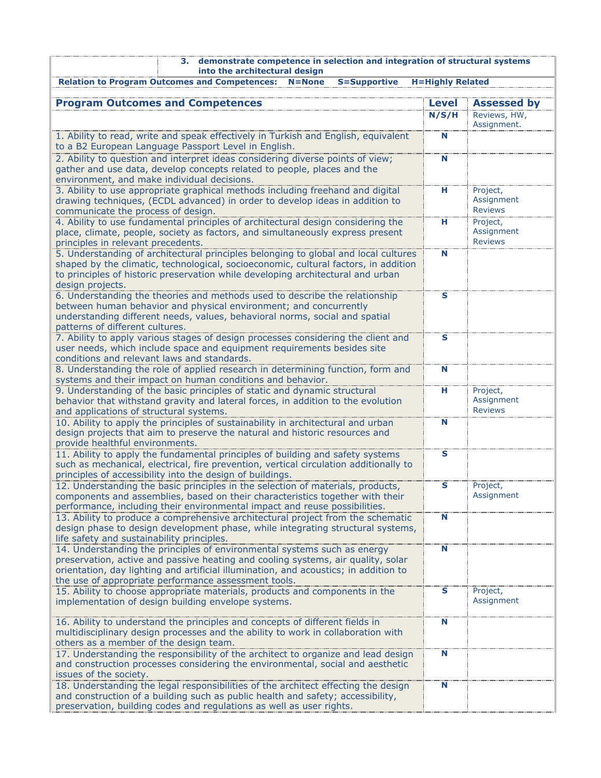| 3. demonstrate competence in selection and integration of structural systems<br>into the architectural design                                                              |                         |                            |  |  |  |  |  |
|----------------------------------------------------------------------------------------------------------------------------------------------------------------------------|-------------------------|----------------------------|--|--|--|--|--|
| <b>Relation to Program Outcomes and Competences:</b><br><b>S=Supportive</b><br><b>H=Highly Related</b><br>$N = None$                                                       |                         |                            |  |  |  |  |  |
| <b>Program Outcomes and Competences</b>                                                                                                                                    | <b>Level</b>            | <b>Assessed by</b>         |  |  |  |  |  |
|                                                                                                                                                                            | N/S/H                   | Reviews, HW,               |  |  |  |  |  |
| 1. Ability to read, write and speak effectively in Turkish and English, equivalent                                                                                         | N                       | Assignment.                |  |  |  |  |  |
| to a B2 European Language Passport Level in English.                                                                                                                       |                         |                            |  |  |  |  |  |
| 2. Ability to question and interpret ideas considering diverse points of view;                                                                                             | N                       |                            |  |  |  |  |  |
| gather and use data, develop concepts related to people, places and the<br>environment, and make individual decisions.                                                     |                         |                            |  |  |  |  |  |
| 3. Ability to use appropriate graphical methods including freehand and digital                                                                                             | н                       | Project,                   |  |  |  |  |  |
| drawing techniques, (ECDL advanced) in order to develop ideas in addition to                                                                                               |                         | Assignment                 |  |  |  |  |  |
| communicate the process of design.<br>4. Ability to use fundamental principles of architectural design considering the                                                     | н                       | <b>Reviews</b><br>Project, |  |  |  |  |  |
| place, climate, people, society as factors, and simultaneously express present                                                                                             |                         | Assignment                 |  |  |  |  |  |
| principles in relevant precedents.                                                                                                                                         |                         | <b>Reviews</b>             |  |  |  |  |  |
| 5. Understanding of architectural principles belonging to global and local cultures<br>shaped by the climatic, technological, socioeconomic, cultural factors, in addition | N                       |                            |  |  |  |  |  |
| to principles of historic preservation while developing architectural and urban                                                                                            |                         |                            |  |  |  |  |  |
| design projects.                                                                                                                                                           |                         |                            |  |  |  |  |  |
| 6. Understanding the theories and methods used to describe the relationship                                                                                                | $\mathbf{s}$            |                            |  |  |  |  |  |
| between human behavior and physical environment; and concurrently<br>understanding different needs, values, behavioral norms, social and spatial                           |                         |                            |  |  |  |  |  |
| patterns of different cultures.                                                                                                                                            |                         |                            |  |  |  |  |  |
| 7. Ability to apply various stages of design processes considering the client and                                                                                          | $\mathbf{s}$            |                            |  |  |  |  |  |
| user needs, which include space and equipment requirements besides site<br>conditions and relevant laws and standards.                                                     |                         |                            |  |  |  |  |  |
| 8. Understanding the role of applied research in determining function, form and                                                                                            | N                       |                            |  |  |  |  |  |
| systems and their impact on human conditions and behavior.                                                                                                                 |                         |                            |  |  |  |  |  |
| 9. Understanding of the basic principles of static and dynamic structural<br>behavior that withstand gravity and lateral forces, in addition to the evolution              | н                       | Project,<br>Assignment     |  |  |  |  |  |
| and applications of structural systems.                                                                                                                                    |                         | <b>Reviews</b>             |  |  |  |  |  |
| 10. Ability to apply the principles of sustainability in architectural and urban                                                                                           | N                       |                            |  |  |  |  |  |
| design projects that aim to preserve the natural and historic resources and                                                                                                |                         |                            |  |  |  |  |  |
| provide healthful environments.<br>11. Ability to apply the fundamental principles of building and safety systems                                                          | $\overline{\mathbf{s}}$ |                            |  |  |  |  |  |
| such as mechanical, electrical, fire prevention, vertical circulation additionally to                                                                                      |                         |                            |  |  |  |  |  |
| principles of accessibility into the design of buildings.                                                                                                                  |                         |                            |  |  |  |  |  |
| 12. Understanding the basic principles in the selection of materials, products,<br>components and assemblies, based on their characteristics together with their           | S                       | Project,<br>Assignment     |  |  |  |  |  |
| performance, including their environmental impact and reuse possibilities.                                                                                                 |                         |                            |  |  |  |  |  |
| 13. Ability to produce a comprehensive architectural project from the schematic                                                                                            | N                       |                            |  |  |  |  |  |
| design phase to design development phase, while integrating structural systems,<br>life safety and sustainability principles.                                              |                         |                            |  |  |  |  |  |
| 14. Understanding the principles of environmental systems such as energy                                                                                                   | N                       |                            |  |  |  |  |  |
| preservation, active and passive heating and cooling systems, air quality, solar                                                                                           |                         |                            |  |  |  |  |  |
| orientation, day lighting and artificial illumination, and acoustics; in addition to<br>the use of appropriate performance assessment tools.                               |                         |                            |  |  |  |  |  |
| 15. Ability to choose appropriate materials, products and components in the                                                                                                | S                       | Project,                   |  |  |  |  |  |
| implementation of design building envelope systems.                                                                                                                        |                         | Assignment                 |  |  |  |  |  |
| 16. Ability to understand the principles and concepts of different fields in                                                                                               | N                       |                            |  |  |  |  |  |
| multidisciplinary design processes and the ability to work in collaboration with                                                                                           |                         |                            |  |  |  |  |  |
| others as a member of the design team.                                                                                                                                     |                         |                            |  |  |  |  |  |
| 17. Understanding the responsibility of the architect to organize and lead design                                                                                          | N                       |                            |  |  |  |  |  |
| and construction processes considering the environmental, social and aesthetic<br>issues of the society.                                                                   |                         |                            |  |  |  |  |  |
| 18. Understanding the legal responsibilities of the architect effecting the design                                                                                         | N                       |                            |  |  |  |  |  |
| and construction of a building such as public health and safety; accessibility,                                                                                            |                         |                            |  |  |  |  |  |
| preservation, building codes and regulations as well as user rights.                                                                                                       |                         |                            |  |  |  |  |  |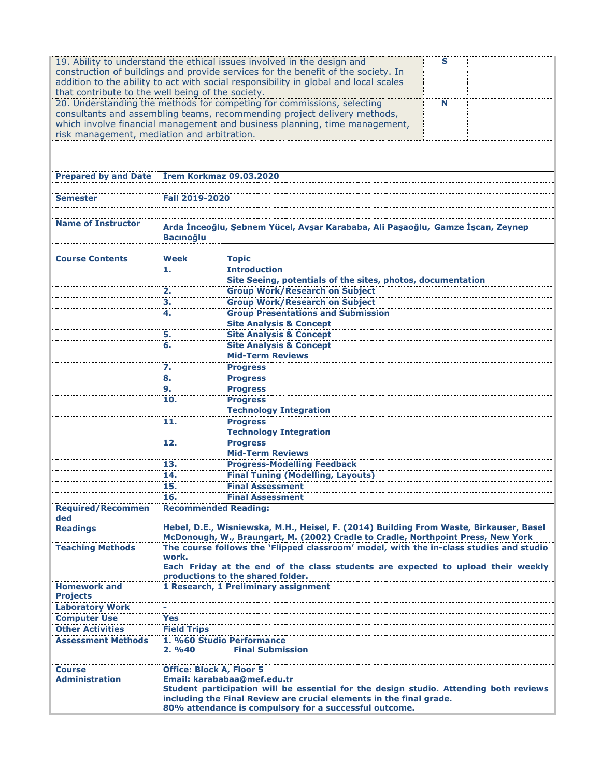| 19. Ability to understand the ethical issues involved in the design and<br>s<br>construction of buildings and provide services for the benefit of the society. In<br>addition to the ability to act with social responsibility in global and local scales<br>that contribute to the well being of the society.<br>20. Understanding the methods for competing for commissions, selecting<br>N<br>consultants and assembling teams, recommending project delivery methods,<br>which involve financial management and business planning, time management,<br>risk management, mediation and arbitration. |                                                                                                                                                                                                                                                                                   |                                                                                        |  |  |  |  |
|--------------------------------------------------------------------------------------------------------------------------------------------------------------------------------------------------------------------------------------------------------------------------------------------------------------------------------------------------------------------------------------------------------------------------------------------------------------------------------------------------------------------------------------------------------------------------------------------------------|-----------------------------------------------------------------------------------------------------------------------------------------------------------------------------------------------------------------------------------------------------------------------------------|----------------------------------------------------------------------------------------|--|--|--|--|
|                                                                                                                                                                                                                                                                                                                                                                                                                                                                                                                                                                                                        |                                                                                                                                                                                                                                                                                   |                                                                                        |  |  |  |  |
|                                                                                                                                                                                                                                                                                                                                                                                                                                                                                                                                                                                                        | Prepared by and Date Irem Korkmaz 09.03.2020                                                                                                                                                                                                                                      |                                                                                        |  |  |  |  |
| Semester                                                                                                                                                                                                                                                                                                                                                                                                                                                                                                                                                                                               | Fall 2019-2020                                                                                                                                                                                                                                                                    |                                                                                        |  |  |  |  |
|                                                                                                                                                                                                                                                                                                                                                                                                                                                                                                                                                                                                        |                                                                                                                                                                                                                                                                                   |                                                                                        |  |  |  |  |
| <b>Name of Instructor</b>                                                                                                                                                                                                                                                                                                                                                                                                                                                                                                                                                                              | Arda İnceoğlu, Şebnem Yücel, Avşar Karababa, Ali Paşaoğlu, Gamze İşcan, Zeynep<br><b>Bacınoğlu</b>                                                                                                                                                                                |                                                                                        |  |  |  |  |
| <b>Course Contents</b>                                                                                                                                                                                                                                                                                                                                                                                                                                                                                                                                                                                 | Week                                                                                                                                                                                                                                                                              | <b>Topic</b>                                                                           |  |  |  |  |
|                                                                                                                                                                                                                                                                                                                                                                                                                                                                                                                                                                                                        | 1.                                                                                                                                                                                                                                                                                | <b>Introduction</b>                                                                    |  |  |  |  |
|                                                                                                                                                                                                                                                                                                                                                                                                                                                                                                                                                                                                        |                                                                                                                                                                                                                                                                                   | Site Seeing, potentials of the sites, photos, documentation                            |  |  |  |  |
|                                                                                                                                                                                                                                                                                                                                                                                                                                                                                                                                                                                                        | 2.<br>3.                                                                                                                                                                                                                                                                          | <b>Group Work/Research on Subject</b><br><b>Group Work/Research on Subject</b>         |  |  |  |  |
|                                                                                                                                                                                                                                                                                                                                                                                                                                                                                                                                                                                                        | 4.                                                                                                                                                                                                                                                                                | <b>Group Presentations and Submission</b>                                              |  |  |  |  |
|                                                                                                                                                                                                                                                                                                                                                                                                                                                                                                                                                                                                        |                                                                                                                                                                                                                                                                                   | <b>Site Analysis &amp; Concept</b>                                                     |  |  |  |  |
|                                                                                                                                                                                                                                                                                                                                                                                                                                                                                                                                                                                                        | 5.                                                                                                                                                                                                                                                                                | <b>Site Analysis &amp; Concept</b>                                                     |  |  |  |  |
| <b>Site Analysis &amp; Concept</b><br>6.<br><b>Mid-Term Reviews</b>                                                                                                                                                                                                                                                                                                                                                                                                                                                                                                                                    |                                                                                                                                                                                                                                                                                   |                                                                                        |  |  |  |  |
|                                                                                                                                                                                                                                                                                                                                                                                                                                                                                                                                                                                                        | 7.                                                                                                                                                                                                                                                                                | <b>Progress</b>                                                                        |  |  |  |  |
|                                                                                                                                                                                                                                                                                                                                                                                                                                                                                                                                                                                                        | 8.                                                                                                                                                                                                                                                                                | <b>Progress</b>                                                                        |  |  |  |  |
|                                                                                                                                                                                                                                                                                                                                                                                                                                                                                                                                                                                                        | 9.                                                                                                                                                                                                                                                                                | <b>Progress</b>                                                                        |  |  |  |  |
|                                                                                                                                                                                                                                                                                                                                                                                                                                                                                                                                                                                                        | 10.                                                                                                                                                                                                                                                                               | <b>Progress</b><br><b>Technology Integration</b>                                       |  |  |  |  |
|                                                                                                                                                                                                                                                                                                                                                                                                                                                                                                                                                                                                        | 11.<br><b>Progress</b><br><b>Technology Integration</b>                                                                                                                                                                                                                           |                                                                                        |  |  |  |  |
|                                                                                                                                                                                                                                                                                                                                                                                                                                                                                                                                                                                                        | 12.                                                                                                                                                                                                                                                                               | <b>Progress</b><br><b>Mid-Term Reviews</b>                                             |  |  |  |  |
|                                                                                                                                                                                                                                                                                                                                                                                                                                                                                                                                                                                                        | 13.                                                                                                                                                                                                                                                                               | <b>Progress-Modelling Feedback</b>                                                     |  |  |  |  |
|                                                                                                                                                                                                                                                                                                                                                                                                                                                                                                                                                                                                        | 14.                                                                                                                                                                                                                                                                               | <b>Final Tuning (Modelling, Layouts)</b>                                               |  |  |  |  |
|                                                                                                                                                                                                                                                                                                                                                                                                                                                                                                                                                                                                        | 15.                                                                                                                                                                                                                                                                               | <b>Final Assessment</b>                                                                |  |  |  |  |
|                                                                                                                                                                                                                                                                                                                                                                                                                                                                                                                                                                                                        | 16.                                                                                                                                                                                                                                                                               | <b>Final Assessment</b>                                                                |  |  |  |  |
| <b>Required/Recommen</b><br>ded                                                                                                                                                                                                                                                                                                                                                                                                                                                                                                                                                                        | <b>Recommended Reading:</b>                                                                                                                                                                                                                                                       |                                                                                        |  |  |  |  |
| <b>Readings</b>                                                                                                                                                                                                                                                                                                                                                                                                                                                                                                                                                                                        | Hebel, D.E., Wisniewska, M.H., Heisel, F. (2014) Building From Waste, Birkauser, Basel<br>McDonough, W., Braungart, M. (2002) Cradle to Cradle, Northpoint Press, New York                                                                                                        |                                                                                        |  |  |  |  |
| <b>Teaching Methods</b>                                                                                                                                                                                                                                                                                                                                                                                                                                                                                                                                                                                |                                                                                                                                                                                                                                                                                   | The course follows the 'Flipped classroom' model, with the in-class studies and studio |  |  |  |  |
|                                                                                                                                                                                                                                                                                                                                                                                                                                                                                                                                                                                                        | work.<br>Each Friday at the end of the class students are expected to upload their weekly<br>productions to the shared folder.                                                                                                                                                    |                                                                                        |  |  |  |  |
| <b>Homework and</b>                                                                                                                                                                                                                                                                                                                                                                                                                                                                                                                                                                                    |                                                                                                                                                                                                                                                                                   | 1 Research, 1 Preliminary assignment                                                   |  |  |  |  |
| <b>Projects</b>                                                                                                                                                                                                                                                                                                                                                                                                                                                                                                                                                                                        |                                                                                                                                                                                                                                                                                   |                                                                                        |  |  |  |  |
| <b>Laboratory Work</b>                                                                                                                                                                                                                                                                                                                                                                                                                                                                                                                                                                                 |                                                                                                                                                                                                                                                                                   |                                                                                        |  |  |  |  |
| <b>Computer Use</b>                                                                                                                                                                                                                                                                                                                                                                                                                                                                                                                                                                                    | Yes                                                                                                                                                                                                                                                                               |                                                                                        |  |  |  |  |
| <b>Other Activities</b><br><b>Assessment Methods</b>                                                                                                                                                                                                                                                                                                                                                                                                                                                                                                                                                   | <b>Field Trips</b>                                                                                                                                                                                                                                                                |                                                                                        |  |  |  |  |
|                                                                                                                                                                                                                                                                                                                                                                                                                                                                                                                                                                                                        | 1. %60 Studio Performance<br>2.9640<br><b>Final Submission</b>                                                                                                                                                                                                                    |                                                                                        |  |  |  |  |
| <b>Course</b><br><b>Administration</b>                                                                                                                                                                                                                                                                                                                                                                                                                                                                                                                                                                 | Office: Block A, Floor 5<br>Email: karababaa@mef.edu.tr<br>Student participation will be essential for the design studio. Attending both reviews<br>including the Final Review are crucial elements in the final grade.<br>80% attendance is compulsory for a successful outcome. |                                                                                        |  |  |  |  |